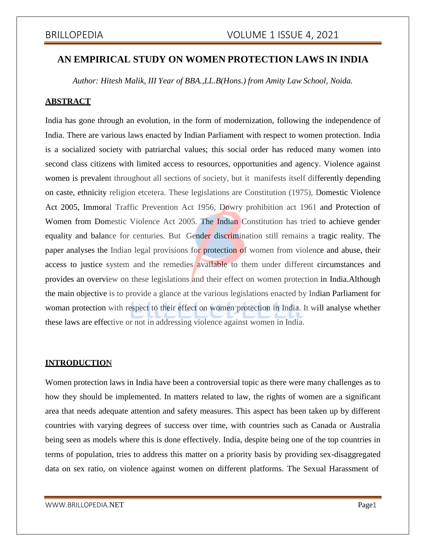# **AN EMPIRICAL STUDY ON WOMEN PROTECTION LAWS IN INDIA**

*Author: Hitesh Malik, III Year of BBA.,LL.B(Hons.) from Amity Law School, Noida.*

### **ABSTRACT**

India has gone through an evolution, in the form of modernization, following the independence of India. There are various laws enacted by Indian Parliament with respect to women protection. India is a socialized society with patriarchal values; this social order has reduced many women into second class citizens with limited access to resources, opportunities and agency. Violence against women is prevalent throughout all sections of society, but it manifests itself differently depending on caste, ethnicity religion etcetera. These legislations are Constitution (1975), Domestic Violence Act 2005, Immoral Traffic Prevention Act 1956, Dowry prohibition act 1961 and Protection of Women from Domestic Violence Act 2005. The Indian Constitution has tried to achieve gender equality and balance for centuries. But Gender discrimination still remains a tragic reality. The paper analyses the Indian legal provisions for protection of women from violence and abuse, their access to justice system and the remedies available to them under different circumstances and provides an overview on these legislations and their effect on women protection in India.Although the main objective is to provide a glance at the various legislations enacted by Indian Parliament for woman protection with respect to their effect on women protection in India. It will analyse whether these laws are effective or not in addressing violence against women in India.

## **INTRODUCTION**

Women protection laws in India have been a controversial topic as there were many challenges as to how they should be implemented. In matters related to law, the rights of women are a significant area that needs adequate attention and safety measures. This aspect has been taken up by different countries with varying degrees of success over time, with countries such as Canada or Australia being seen as models where this is done effectively. India, despite being one of the top countries in terms of population, tries to address this matter on a priority basis by providing sex-disaggregated data on sex ratio, on violence against women on different platforms. The Sexual Harassment of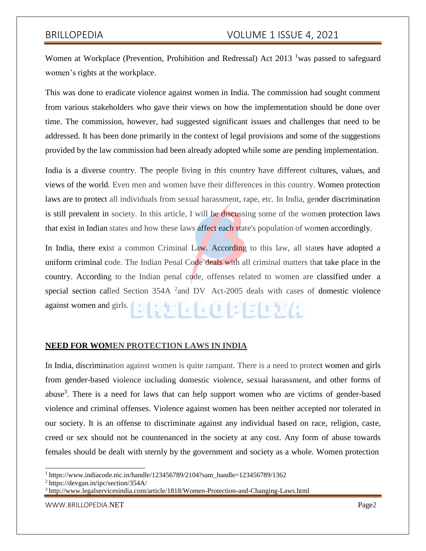Women at Workplace (Prevention, Prohibition and Redressal) Act  $2013<sup>-1</sup>$  was passed to safeguard women's rights at the workplace.

This was done to eradicate violence against women in India. The commission had sought comment from various stakeholders who gave their views on how the implementation should be done over time. The commission, however, had suggested significant issues and challenges that need to be addressed. It has been done primarily in the context of legal provisions and some of the suggestions provided by the law commission had been already adopted while some are pending implementation.

India is a diverse country. The people living in this country have different cultures, values, and views of the world. Even men and women have their differences in this country. Women protection laws are to protect all individuals from sexual harassment, rape, etc. In India, gender discrimination is still prevalent in society. In this article, I will be discussing some of the women protection laws that exist in Indian states and how these laws affect each state's population of women accordingly.

In India, there exist a common Criminal Law. According to this law, all states have adopted a uniform criminal code. The Indian Penal Code deals with all criminal matters that take place in the country. According to the Indian penal code, offenses related to women are classified under a special section called Section 354A <sup>2</sup> and DV Act-2005 deals with cases of domestic violence against women and girls. **BRTLLOUPEDTA** 

### **NEED FOR WOMEN PROTECTION LAWS IN INDIA**

In India, discrimination against women is quite rampant. There is a need to protect women and girls from gender-based violence including domestic violence, sexual harassment, and other forms of abuse<sup>3</sup>. There is a need for laws that can help support women who are victims of gender-based violence and criminal offenses. Violence against women has been neither accepted nor tolerated in our society. It is an offense to discriminate against any individual based on race, religion, caste, creed or sex should not be countenanced in the society at any cost. Any form of abuse towards females should be dealt with sternly by the government and society as a whole. Women protection

<sup>1</sup> https://www.indiacode.nic.in/handle/123456789/2104?sam\_handle=123456789/1362

<sup>2</sup> https://devgan.in/ipc/section/354A/

<sup>3</sup> <http://www.legalservicesindia.com/article/1818/Women-Protection-and-Changing-Laws.html>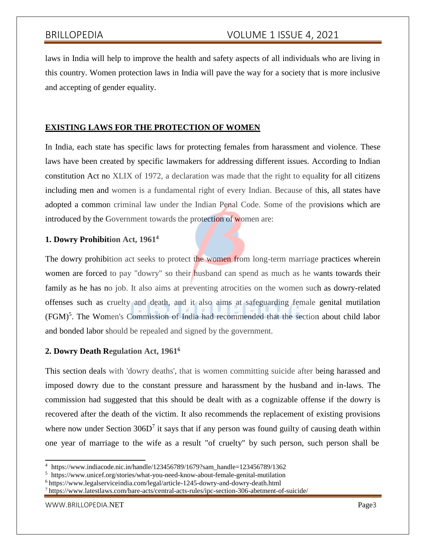laws in India will help to improve the health and safety aspects of all individuals who are living in this country. Women protection laws in India will pave the way for a society that is more inclusive and accepting of gender equality.

# **EXISTING LAWS FOR THE PROTECTION OF WOMEN**

In India, each state has specific laws for protecting females from harassment and violence. These laws have been created by specific lawmakers for addressing different issues. According to Indian constitution Act no XLIX of 1972, a declaration was made that the right to equality for all citizens including men and women is a fundamental right of every Indian. Because of this, all states have adopted a common criminal law under the Indian Penal Code. Some of the provisions which are introduced by the Government towards the protection of women are:

# **1. Dowry Prohibition Act, 1961<sup>4</sup>**

The dowry prohibition act seeks to protect the women from long-term marriage practices wherein women are forced to pay "dowry" so their husband can spend as much as he wants towards their family as he has no job. It also aims at preventing atrocities on the women such as dowry-related offenses such as cruelty and death, and it also aims at safeguarding female genital mutilation (FGM)<sup>5</sup>. The Women's Commission of India had recommended that the section about child labor and bonded labor should be repealed and signed by the government.

## **2. Dowry Death Regulation Act, 1961<sup>6</sup>**

This section deals with 'dowry deaths', that is women committing suicide after being harassed and imposed dowry due to the constant pressure and harassment by the husband and in-laws. The commission had suggested that this should be dealt with as a cognizable offense if the dowry is recovered after the death of the victim. It also recommends the replacement of existing provisions where now under Section  $306D<sup>7</sup>$  it says that if any person was found guilty of causing death within one year of marriage to the wife as a result "of cruelty" by such person, such person shall be

<sup>4</sup> https://www.indiacode.nic.in/handle/123456789/1679?sam\_handle=123456789/1362

<sup>5</sup> https:/[/www.unicef.org/stories/what-you-need-know-about-female-genital-mutilation](http://www.unicef.org/stories/what-you-need-know-about-female-genital-mutilation)

<sup>6</sup> https:/[/www.legalserviceindia.com/legal/article-1245-dowry-and-dowry-death.html](http://www.legalserviceindia.com/legal/article-1245-dowry-and-dowry-death.html)

 $^7$ https:/[/www.latestlaws.com/bare-acts/central-acts-rules/ipc-section-306-abetment-of-suicide/](http://www.latestlaws.com/bare-acts/central-acts-rules/ipc-section-306-abetment-of-suicide/)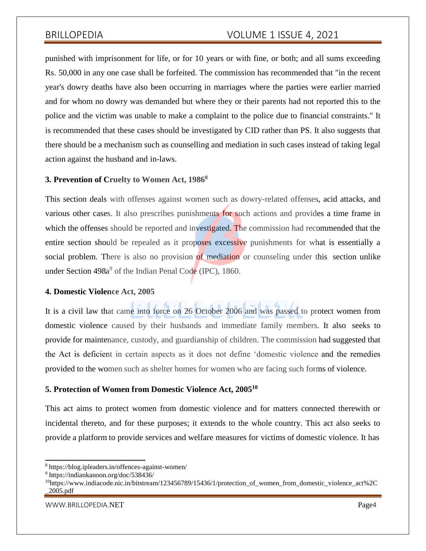punished with imprisonment for life, or for 10 years or with fine, or both; and all sums exceeding Rs. 50,000 in any one case shall be forfeited. The commission has recommended that "in the recent year's dowry deaths have also been occurring in marriages where the parties were earlier married and for whom no dowry was demanded but where they or their parents had not reported this to the police and the victim was unable to make a complaint to the police due to financial constraints." It is recommended that these cases should be investigated by CID rather than PS. It also suggests that there should be a mechanism such as counselling and mediation in such cases instead of taking legal action against the husband and in-laws.

### **3. Prevention of Cruelty to Women Act, 1986<sup>8</sup>**

This section deals with offenses against women such as dowry-related offenses, acid attacks, and various other cases. It also prescribes punishments for such actions and provides a time frame in which the offenses should be reported and investigated. The commission had recommended that the entire section should be repealed as it proposes excessive punishments for what is essentially a social problem. There is also no provision of mediation or counseling under this section unlike under Section 498a<sup>9</sup> of the Indian Penal Code (IPC), 1860.

### **4. Domestic Violence Act, 2005**

It is a civil law that came into force on 26 October 2006 and was passed to protect women from domestic violence caused by their husbands and immediate family members. It also seeks to provide for maintenance, custody, and guardianship of children. The commission had suggested that the Act is deficient in certain aspects as it does not define 'domestic violence and the remedies provided to the women such as shelter homes for women who are facing such forms of violence.

### **5. Protection of Women from Domestic Violence Act, 2005<sup>10</sup>**

This act aims to protect women from domestic violence and for matters connected therewith or incidental thereto, and for these purposes; it extends to the whole country. This act also seeks to provide a platform to provide services and welfare measures for victims of domestic violence. It has

<sup>8</sup> https://blog.ipleaders.in/offences-against-women/

<sup>9</sup> https://indiankanoon.org/doc/538436/

<sup>&</sup>lt;sup>10</sup>https://www.indiacode.nic.in/bitstream/123456789/15436/1/protection of women from domestic violence act%2C \_2005.pdf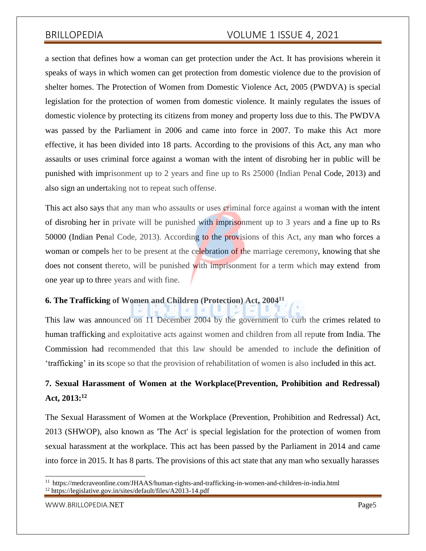a section that defines how a woman can get protection under the Act. It has provisions wherein it speaks of ways in which women can get protection from domestic violence due to the provision of shelter homes. The Protection of Women from Domestic Violence Act, 2005 (PWDVA) is special legislation for the protection of women from domestic violence. It mainly regulates the issues of domestic violence by protecting its citizens from money and property loss due to this. The PWDVA was passed by the Parliament in 2006 and came into force in 2007. To make this Act more effective, it has been divided into 18 parts. According to the provisions of this Act, any man who assaults or uses criminal force against a woman with the intent of disrobing her in public will be punished with imprisonment up to 2 years and fine up to Rs 25000 (Indian Penal Code, 2013) and also sign an undertaking not to repeat such offense.

This act also says that any man who assaults or uses criminal force against a woman with the intent of disrobing her in private will be punished with imprisonment up to 3 years and a fine up to Rs 50000 (Indian Penal Code, 2013). According to the provisions of this Act, any man who forces a woman or compels her to be present at the celebration of the marriage ceremony, knowing that she does not consent thereto, will be punished with imprisonment for a term which may extend from one year up to three years and with fine.

## **6. The Trafficking of Women and Children (Protection) Act, 2004<sup>11</sup>**

This law was announced on 11 December 2004 by the government to curb the crimes related to human trafficking and exploitative acts against women and children from all repute from India. The Commission had recommended that this law should be amended to include the definition of 'trafficking' in its scope so that the provision of rehabilitation of women is also included in this act.

# **7. Sexual Harassment of Women at the Workplace(Prevention, Prohibition and Redressal) Act, 2013:<sup>12</sup>**

The Sexual Harassment of Women at the Workplace (Prevention, Prohibition and Redressal) Act, 2013 (SHWOP), also known as 'The Act' is special legislation for the protection of women from sexual harassment at the workplace. This act has been passed by the Parliament in 2014 and came into force in 2015. It has 8 parts. The provisions of this act state that any man who sexually harasses

<sup>11</sup> https://medcraveonline.com/JHAAS/human-rights-and-trafficking-in-women-and-children-in-india.html <sup>12</sup> https://legislative.gov.in/sites/default/files/A2013-14.pdf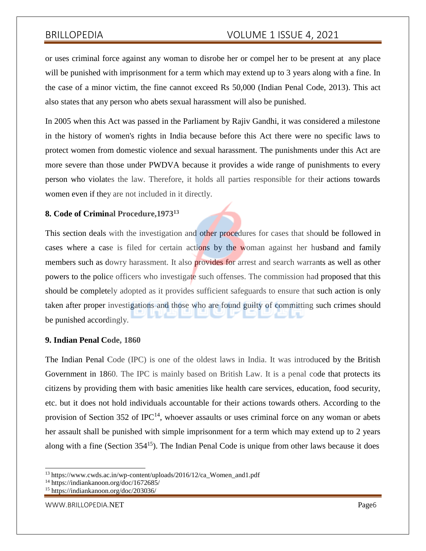or uses criminal force against any woman to disrobe her or compel her to be present at any place will be punished with imprisonment for a term which may extend up to 3 years along with a fine. In the case of a minor victim, the fine cannot exceed Rs 50,000 (Indian Penal Code, 2013). This act also states that any person who abets sexual harassment will also be punished.

In 2005 when this Act was passed in the Parliament by Rajiv Gandhi, it was considered a milestone in the history of women's rights in India because before this Act there were no specific laws to protect women from domestic violence and sexual harassment. The punishments under this Act are more severe than those under PWDVA because it provides a wide range of punishments to every person who violates the law. Therefore, it holds all parties responsible for their actions towards women even if they are not included in it directly.

### **8. Code of Criminal Procedure,1973<sup>13</sup>**

This section deals with the investigation and other procedures for cases that should be followed in cases where a case is filed for certain actions by the woman against her husband and family members such as dowry harassment. It also **provides for** arrest and search warrants as well as other powers to the police officers who investigate such offenses. The commission had proposed that this should be completely adopted as it provides sufficient safeguards to ensure that such action is only taken after proper investigations and those who are found guilty of committing such crimes should be punished accordingly.

### **9. Indian Penal Code, 1860**

The Indian Penal Code (IPC) is one of the oldest laws in India. It was introduced by the British Government in 1860. The IPC is mainly based on British Law. It is a penal code that protects its citizens by providing them with basic amenities like health care services, education, food security, etc. but it does not hold individuals accountable for their actions towards others. According to the provision of Section 352 of IPC<sup>14</sup>, whoever assaults or uses criminal force on any woman or abets her assault shall be punished with simple imprisonment for a term which may extend up to 2 years along with a fine (Section  $354^{15}$ ). The Indian Penal Code is unique from other laws because it does

<sup>13</sup> https:/[/www.cwds.ac.in/wp-content/uploads/2016/12/ca\\_Women\\_and1.pdf](http://www.cwds.ac.in/wp-content/uploads/2016/12/ca_Women_and1.pdf)

<sup>14</sup> https://indiankanoon.org/doc/1672685/

<sup>15</sup> https://indiankanoon.org/doc/203036/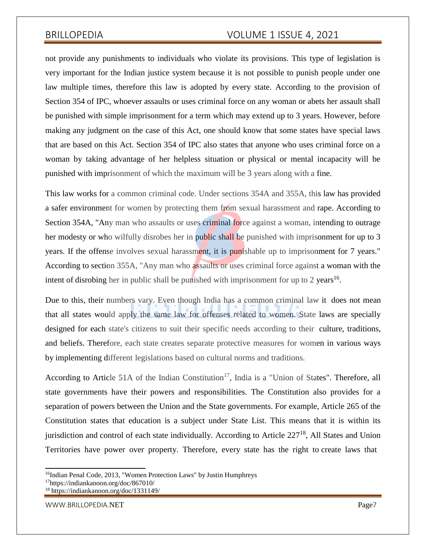not provide any punishments to individuals who violate its provisions. This type of legislation is very important for the Indian justice system because it is not possible to punish people under one law multiple times, therefore this law is adopted by every state. According to the provision of Section 354 of IPC, whoever assaults or uses criminal force on any woman or abets her assault shall be punished with simple imprisonment for a term which may extend up to 3 years. However, before making any judgment on the case of this Act, one should know that some states have special laws that are based on this Act. Section 354 of IPC also states that anyone who uses criminal force on a woman by taking advantage of her helpless situation or physical or mental incapacity will be punished with imprisonment of which the maximum will be 3 years along with a fine.

This law works for a common criminal code. Under sections 354A and 355A, this law has provided a safer environment for women by protecting them from sexual harassment and rape. According to Section 354A, "Any man who assaults or uses criminal force against a woman, intending to outrage her modesty or who wilfully disrobes her in public shall be punished with imprisonment for up to 3 years. If the offense involves sexual harassment, it is punishable up to imprisonment for 7 years." According to section 355A, "Any man who assaults or uses criminal force against a woman with the intent of disrobing her in public shall be punished with imprisonment for up to 2 years<sup>16</sup>.

Due to this, their numbers vary. Even though India has a common criminal law it does not mean that all states would apply the same law for offenses related to women. State laws are specially designed for each state's citizens to suit their specific needs according to their culture, traditions, and beliefs. Therefore, each state creates separate protective measures for women in various ways by implementing different legislations based on cultural norms and traditions.

According to Article 51A of the Indian Constitution<sup>17</sup>, India is a "Union of States". Therefore, all state governments have their powers and responsibilities. The Constitution also provides for a separation of powers between the Union and the State governments. For example, Article 265 of the Constitution states that education is a subject under State List. This means that it is within its jurisdiction and control of each state individually. According to Article  $227<sup>18</sup>$ , All States and Union Territories have power over property. Therefore, every state has the right to create laws that

<sup>&</sup>lt;sup>16</sup>Indian Penal Code, 2013, "Women Protection Laws" by Justin Humphreys

<sup>17</sup>https://indiankanoon.org/doc/867010/

<sup>18</sup> https://indiankanoon.org/doc/1331149/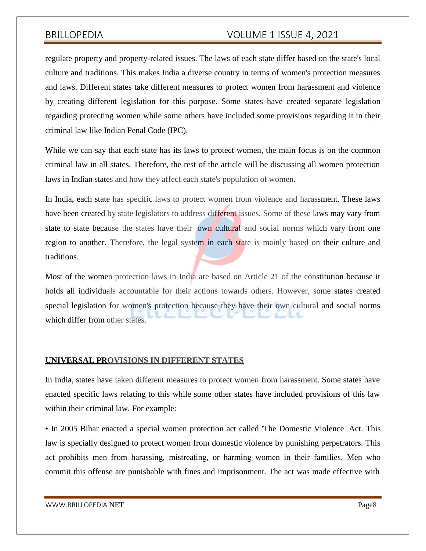regulate property and property-related issues. The laws of each state differ based on the state's local culture and traditions. This makes India a diverse country in terms of women's protection measures and laws. Different states take different measures to protect women from harassment and violence by creating different legislation for this purpose. Some states have created separate legislation regarding protecting women while some others have included some provisions regarding it in their criminal law like Indian Penal Code (IPC).

While we can say that each state has its laws to protect women, the main focus is on the common criminal law in all states. Therefore, the rest of the article will be discussing all women protection laws in Indian states and how they affect each state's population of women.

In India, each state has specific laws to protect women from violence and harassment. These laws have been created by state legislators to address different issues. Some of these laws may vary from state to state because the states have their own cultural and social norms which vary from one region to another. Therefore, the legal system in each state is mainly based on their culture and traditions.

Most of the women protection laws in India are based on Article 21 of the constitution because it holds all individuals accountable for their actions towards others. However, some states created special legislation for women's protection because they have their own cultural and social norms which differ from other states.

### **UNIVERSAL PROVISIONS IN DIFFERENT STATES**

In India, states have taken different measures to protect women from harassment. Some states have enacted specific laws relating to this while some other states have included provisions of this law within their criminal law. For example:

• In 2005 Bihar enacted a special women protection act called 'The Domestic Violence Act. This law is specially designed to protect women from domestic violence by punishing perpetrators. This act prohibits men from harassing, mistreating, or harming women in their families. Men who commit this offense are punishable with fines and imprisonment. The act was made effective with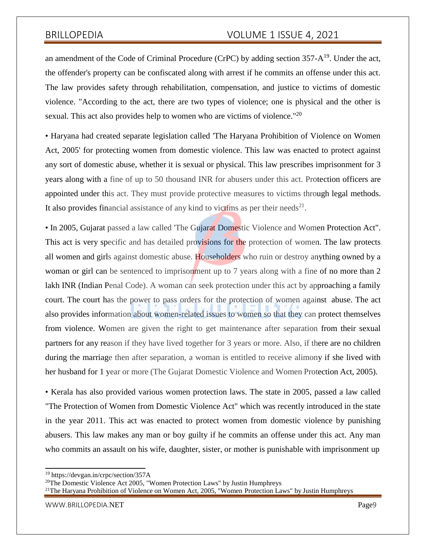an amendment of the Code of Criminal Procedure (CrPC) by adding section  $357-A^{19}$ . Under the act, the offender's property can be confiscated along with arrest if he commits an offense under this act. The law provides safety through rehabilitation, compensation, and justice to victims of domestic violence. "According to the act, there are two types of violence; one is physical and the other is sexual. This act also provides help to women who are victims of violence."<sup>20</sup>

• Haryana had created separate legislation called 'The Haryana Prohibition of Violence on Women Act, 2005' for protecting women from domestic violence. This law was enacted to protect against any sort of domestic abuse, whether it is sexual or physical. This law prescribes imprisonment for 3 years along with a fine of up to 50 thousand INR for abusers under this act. Protection officers are appointed under this act. They must provide protective measures to victims through legal methods. It also provides financial assistance of any kind to victims as per their needs<sup>21</sup>.

• In 2005, Gujarat passed a law called 'The Gujarat Domestic Violence and Women Protection Act". This act is very specific and has detailed provisions for the protection of women. The law protects all women and girls against domestic abuse. Householders who ruin or destroy anything owned by a woman or girl can be sentenced to imprisonment up to 7 years along with a fine of no more than 2 lakh INR (Indian Penal Code). A woman can seek protection under this act by approaching a family court. The court has the power to pass orders for the protection of women against abuse. The act also provides information about women-related issues to women so that they can protect themselves from violence. Women are given the right to get maintenance after separation from their sexual partners for any reason if they have lived together for 3 years or more. Also, if there are no children during the marriage then after separation, a woman is entitled to receive alimony if she lived with her husband for 1 year or more (The Gujarat Domestic Violence and Women Protection Act, 2005).

• Kerala has also provided various women protection laws. The state in 2005, passed a law called "The Protection of Women from Domestic Violence Act" which was recently introduced in the state in the year 2011. This act was enacted to protect women from domestic violence by punishing abusers. This law makes any man or boy guilty if he commits an offense under this act. Any man who commits an assault on his wife, daughter, sister, or mother is punishable with imprisonment up

<sup>19</sup> https://devgan.in/crpc/section/357A

<sup>&</sup>lt;sup>20</sup>The Domestic Violence Act 2005, "Women Protection Laws" by Justin Humphreys

<sup>&</sup>lt;sup>21</sup>The Haryana Prohibition of Violence on Women Act, 2005, "Women Protection Laws" by Justin Humphreys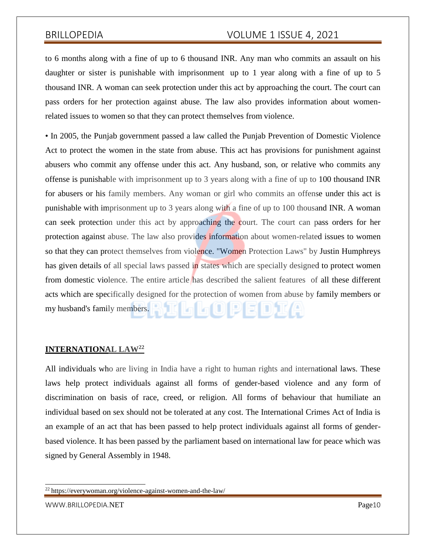to 6 months along with a fine of up to 6 thousand INR. Any man who commits an assault on his daughter or sister is punishable with imprisonment up to 1 year along with a fine of up to 5 thousand INR. A woman can seek protection under this act by approaching the court. The court can pass orders for her protection against abuse. The law also provides information about womenrelated issues to women so that they can protect themselves from violence.

• In 2005, the Punjab government passed a law called the Punjab Prevention of Domestic Violence Act to protect the women in the state from abuse. This act has provisions for punishment against abusers who commit any offense under this act. Any husband, son, or relative who commits any offense is punishable with imprisonment up to 3 years along with a fine of up to 100 thousand INR for abusers or his family members. Any woman or girl who commits an offense under this act is punishable with imprisonment up to 3 years along with a fine of up to 100 thousand INR. A woman can seek protection under this act by approaching the court. The court can pass orders for her protection against abuse. The law also provides information about women-related issues to women so that they can protect themselves from violence. "Women Protection Laws" by Justin Humphreys has given details of all special laws passed in states which are specially designed to protect women from domestic violence. The entire article has described the salient features of all these different acts which are specifically designed for the protection of women from abuse by family members or LTUIPEDIA my husband's family members.

### **INTERNATIONAL LAW<sup>22</sup>**

All individuals who are living in India have a right to human rights and international laws. These laws help protect individuals against all forms of gender-based violence and any form of discrimination on basis of race, creed, or religion. All forms of behaviour that humiliate an individual based on sex should not be tolerated at any cost. The International Crimes Act of India is an example of an act that has been passed to help protect individuals against all forms of genderbased violence. It has been passed by the parliament based on international law for peace which was signed by General Assembly in 1948.

<sup>22</sup> https://everywoman.org/violence-against-women-and-the-law/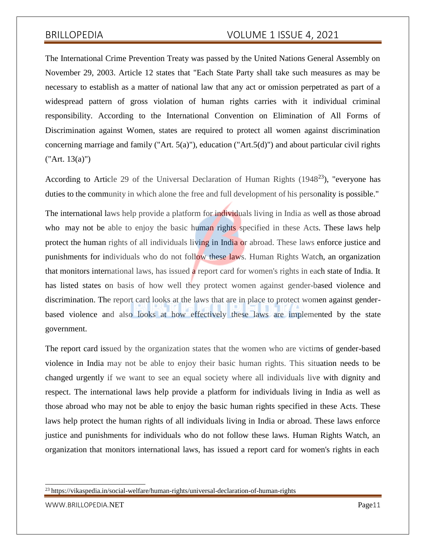The International Crime Prevention Treaty was passed by the United Nations General Assembly on November 29, 2003. Article 12 states that "Each State Party shall take such measures as may be necessary to establish as a matter of national law that any act or omission perpetrated as part of a widespread pattern of gross violation of human rights carries with it individual criminal responsibility. According to the International Convention on Elimination of All Forms of Discrimination against Women, states are required to protect all women against discrimination concerning marriage and family ("Art. 5(a)"), education ("Art.5(d)") and about particular civil rights ("Art. 13(a)")

According to Article 29 of the Universal Declaration of Human Rights (1948<sup>23</sup>), "everyone has duties to the community in which alone the free and full development of his personality is possible."

The international laws help provide a platform for individuals living in India as well as those abroad who may not be able to enjoy the basic human rights specified in these Acts. These laws help protect the human rights of all individuals living in India or abroad. These laws enforce justice and punishments for individuals who do not follow these laws. Human Rights Watch, an organization that monitors international laws, has issued a report card for women's rights in each state of India. It has listed states on basis of how well they protect women against gender-based violence and discrimination. The report card looks at the laws that are in place to protect women against genderbased violence and also looks at how effectively these laws are implemented by the state government.

The report card issued by the organization states that the women who are victims of gender-based violence in India may not be able to enjoy their basic human rights. This situation needs to be changed urgently if we want to see an equal society where all individuals live with dignity and respect. The international laws help provide a platform for individuals living in India as well as those abroad who may not be able to enjoy the basic human rights specified in these Acts. These laws help protect the human rights of all individuals living in India or abroad. These laws enforce justice and punishments for individuals who do not follow these laws. Human Rights Watch, an organization that monitors international laws, has issued a report card for women's rights in each

[WWW.BRILLOPEDIA.](http://www.brillopedia.net/)NET Page11

<sup>23</sup> https://vikaspedia.in/social-welfare/human-rights/universal-declaration-of-human-rights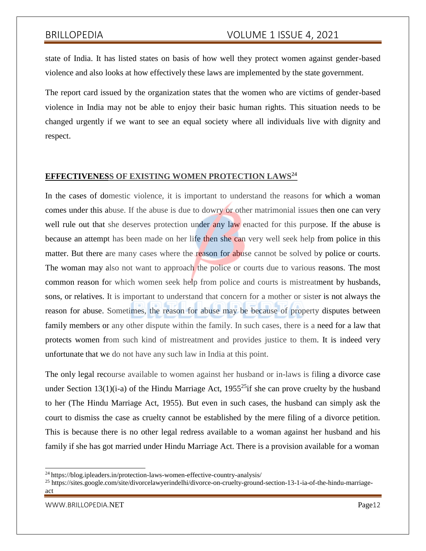state of India. It has listed states on basis of how well they protect women against gender-based violence and also looks at how effectively these laws are implemented by the state government.

The report card issued by the organization states that the women who are victims of gender-based violence in India may not be able to enjoy their basic human rights. This situation needs to be changed urgently if we want to see an equal society where all individuals live with dignity and respect.

### **EFFECTIVENESS OF EXISTING WOMEN PROTECTION LAWS<sup>24</sup>**

In the cases of domestic violence, it is important to understand the reasons for which a woman comes under this abuse. If the abuse is due to dowry or other matrimonial issues then one can very well rule out that she deserves protection under any law enacted for this purpose. If the abuse is because an attempt has been made on her life then she can very well seek help from police in this matter. But there are many cases where the reason for abuse cannot be solved by police or courts. The woman may also not want to approach the police or courts due to various reasons. The most common reason for which women seek help from police and courts is mistreatment by husbands, sons, or relatives. It is important to understand that concern for a mother or sister is not always the reason for abuse. Sometimes, the reason for abuse may be because of property disputes between family members or any other dispute within the family. In such cases, there is a need for a law that protects women from such kind of mistreatment and provides justice to them. It is indeed very unfortunate that we do not have any such law in India at this point.

The only legal recourse available to women against her husband or in-laws is filing a divorce case under Section 13(1)(i-a) of the Hindu Marriage Act, 1955<sup>25</sup>if she can prove cruelty by the husband to her (The Hindu Marriage Act, 1955). But even in such cases, the husband can simply ask the court to dismiss the case as cruelty cannot be established by the mere filing of a divorce petition. This is because there is no other legal redress available to a woman against her husband and his family if she has got married under Hindu Marriage Act. There is a provision available for a woman

<sup>&</sup>lt;sup>24</sup> https://blog.ipleaders.in/protection-laws-women-effective-country-analysis/

<sup>&</sup>lt;sup>25</sup> https://sites.google.com/site/divorcelawyerindelhi/divorce-on-cruelty-ground-section-13-1-ia-of-the-hindu-marriageact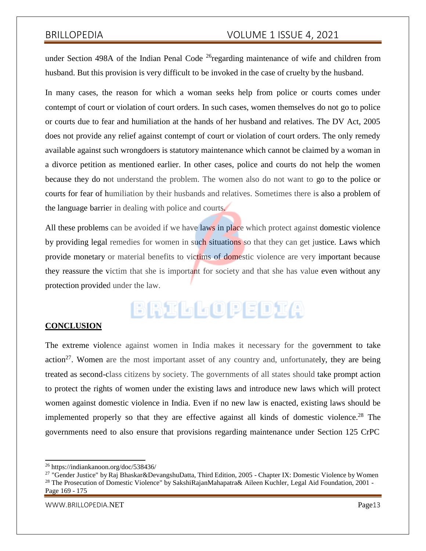under Section 498A of the Indian Penal Code  $^{26}$ regarding maintenance of wife and children from husband. But this provision is very difficult to be invoked in the case of cruelty by the husband.

In many cases, the reason for which a woman seeks help from police or courts comes under contempt of court or violation of court orders. In such cases, women themselves do not go to police or courts due to fear and humiliation at the hands of her husband and relatives. The DV Act, 2005 does not provide any relief against contempt of court or violation of court orders. The only remedy available against such wrongdoers is statutory maintenance which cannot be claimed by a woman in a divorce petition as mentioned earlier. In other cases, police and courts do not help the women because they do not understand the problem. The women also do not want to go to the police or courts for fear of humiliation by their husbands and relatives. Sometimes there is also a problem of the language barrier in dealing with police and courts.

All these problems can be avoided if we have laws in place which protect against domestic violence by providing legal remedies for women in such situations so that they can get justice. Laws which provide monetary or material benefits to victims of domestic violence are very important because they reassure the victim that she is important for society and that she has value even without any protection provided under the law.

# BRILLOPEDIA

# **CONCLUSION**

The extreme violence against women in India makes it necessary for the government to take action<sup>27</sup>. Women are the most important asset of any country and, unfortunately, they are being treated as second-class citizens by society. The governments of all states should take prompt action to protect the rights of women under the existing laws and introduce new laws which will protect women against domestic violence in India. Even if no new law is enacted, existing laws should be implemented properly so that they are effective against all kinds of domestic violence.<sup>28</sup> The governments need to also ensure that provisions regarding maintenance under Section 125 CrPC

<sup>26</sup> https://indiankanoon.org/doc/538436/

<sup>&</sup>lt;sup>27</sup> "Gender Justice" by Raj Bhaskar&DevangshuDatta, Third Edition, 2005 - Chapter IX: Domestic Violence by Women <sup>28</sup> The Prosecution of Domestic Violence" by SakshiRajanMahapatra& Aileen Kuchler, Legal Aid Foundation, 2001 -Page 169 - 175